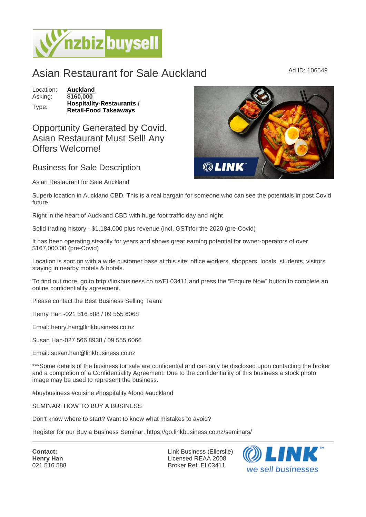## Asian Restaurant for Sale Auckland Marine Ad ID: 106549

Location: [Auckland](https://www.nzbizbuysell.co.nz/businesses-for-sale/location/Auckland) Asking: \$160,000 Type: [Hospitality-Restaurants](https://www.nzbizbuysell.co.nz/businesses-for-sale/Restaurants/New-Zealand) / Retail-Food Takeaways

Opportunity Generated by Covid. Asian Restaurant Must Sell! Any Offers Welcome!

## Business for Sale Description

Asian Restaurant for Sale Auckland

Superb location in Auckland CBD. This is a real bargain for someone who can see the potentials in post Covid future.

Right in the heart of Auckland CBD with huge foot traffic day and night

Solid trading history - \$1,184,000 plus revenue (incl. GST)for the 2020 (pre-Covid)

It has been operating steadily for years and shows great earning potential for owner-operators of over \$167,000.00 (pre-Covid)

Location is spot on with a wide customer base at this site: office workers, shoppers, locals, students, visitors staying in nearby motels & hotels.

To find out more, go to http://linkbusiness.co.nz/EL03411 and press the "Enquire Now" button to complete an online confidentiality agreement.

Please contact the Best Business Selling Team:

Henry Han -021 516 588 / 09 555 6068

Email: henry.han@linkbusiness.co.nz

Susan Han-027 566 8938 / 09 555 6066

Email: susan.han@linkbusiness.co.nz

\*\*\*Some details of the business for sale are confidential and can only be disclosed upon contacting the broker and a completion of a Confidentiality Agreement. Due to the confidentiality of this business a stock photo image may be used to represent the business.

#buybusiness #cuisine #hospitality #food #auckland

SEMINAR: HOW TO BUY A BUSINESS

Don't know where to start? Want to know what mistakes to avoid?

Register for our Buy a Business Seminar. https://go.linkbusiness.co.nz/seminars/

Contact: Henry Han 021 516 588 Link Business (Ellerslie) Licensed REAA 2008 Broker Ref: EL03411